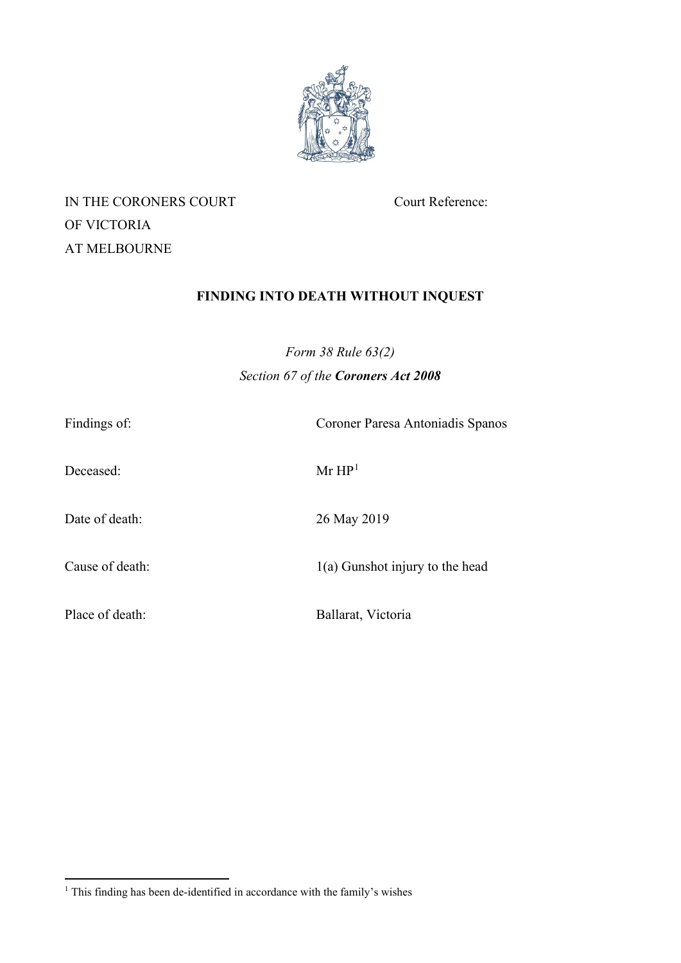

IN THE CORONERS COURT Court Reference: OF VICTORIA AT MELBOURNE

# **FINDING INTO DEATH WITHOUT INQUEST**

*Form 38 Rule 63(2) Section 67 of the Coroners Act 2008*

| Findings of:    | Coroner Paresa Antoniadis Spanos  |
|-----------------|-----------------------------------|
| Deceased:       | Mr HP <sup>1</sup>                |
| Date of death:  | 26 May 2019                       |
| Cause of death: | $1(a)$ Gunshot injury to the head |
| Place of death: | Ballarat, Victoria                |

<span id="page-0-0"></span><sup>&</sup>lt;sup>1</sup> This finding has been de-identified in accordance with the family's wishes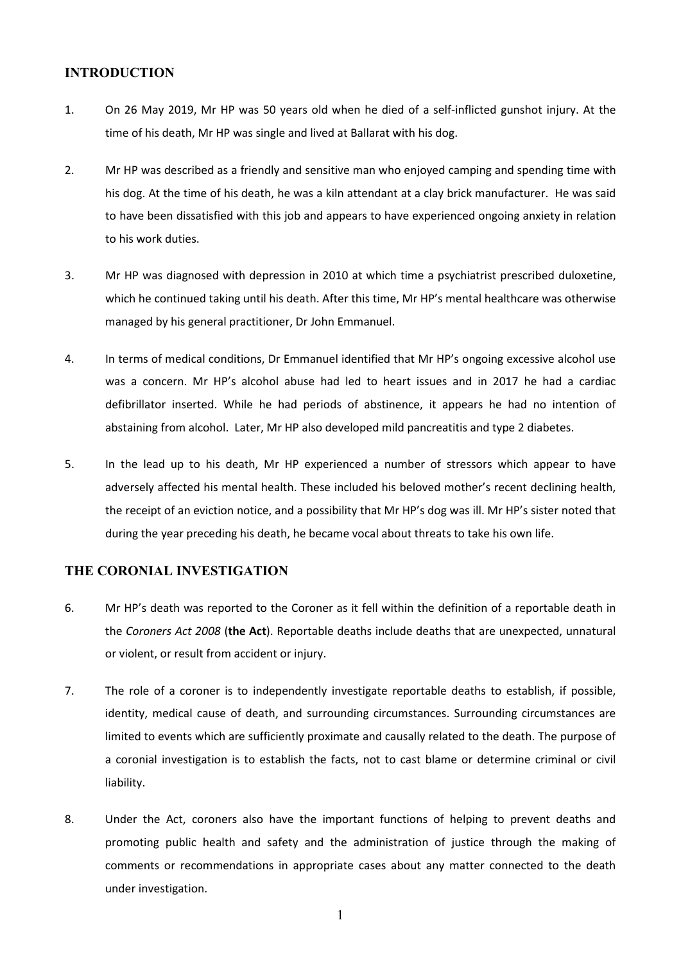## **INTRODUCTION**

- 1. On 26 May 2019, Mr HP was 50 years old when he died of a self-inflicted gunshot injury. At the time of his death, Mr HP was single and lived at Ballarat with his dog.
- 2. Mr HP was described as a friendly and sensitive man who enjoyed camping and spending time with his dog. At the time of his death, he was a kiln attendant at a clay brick manufacturer. He was said to have been dissatisfied with this job and appears to have experienced ongoing anxiety in relation to his work duties.
- 3. Mr HP was diagnosed with depression in 2010 at which time a psychiatrist prescribed duloxetine, which he continued taking until his death. After this time, Mr HP's mental healthcare was otherwise managed by his general practitioner, Dr John Emmanuel.
- 4. In terms of medical conditions, Dr Emmanuel identified that Mr HP's ongoing excessive alcohol use was a concern. Mr HP's alcohol abuse had led to heart issues and in 2017 he had a cardiac defibrillator inserted. While he had periods of abstinence, it appears he had no intention of abstaining from alcohol. Later, Mr HP also developed mild pancreatitis and type 2 diabetes.
- 5. In the lead up to his death, Mr HP experienced a number of stressors which appear to have adversely affected his mental health. These included his beloved mother's recent declining health, the receipt of an eviction notice, and a possibility that Mr HP's dog was ill. Mr HP's sister noted that during the year preceding his death, he became vocal about threats to take his own life.

## **THE CORONIAL INVESTIGATION**

- 6. Mr HP's death was reported to the Coroner as it fell within the definition of a reportable death in the *Coroners Act 2008* (**the Act**). Reportable deaths include deaths that are unexpected, unnatural or violent, or result from accident or injury.
- 7. The role of a coroner is to independently investigate reportable deaths to establish, if possible, identity, medical cause of death, and surrounding circumstances. Surrounding circumstances are limited to events which are sufficiently proximate and causally related to the death. The purpose of a coronial investigation is to establish the facts, not to cast blame or determine criminal or civil liability.
- 8. Under the Act, coroners also have the important functions of helping to prevent deaths and promoting public health and safety and the administration of justice through the making of comments or recommendations in appropriate cases about any matter connected to the death under investigation.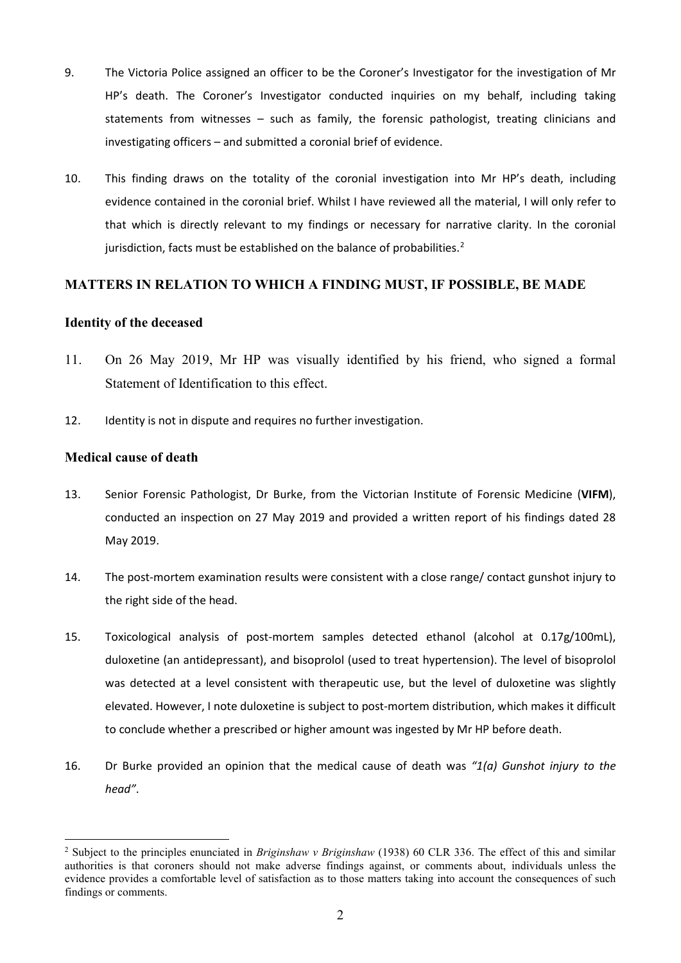- 9. The Victoria Police assigned an officer to be the Coroner's Investigator for the investigation of Mr HP's death. The Coroner's Investigator conducted inquiries on my behalf, including taking statements from witnesses – such as family, the forensic pathologist, treating clinicians and investigating officers – and submitted a coronial brief of evidence.
- 10. This finding draws on the totality of the coronial investigation into Mr HP's death, including evidence contained in the coronial brief. Whilst I have reviewed all the material, I will only refer to that which is directly relevant to my findings or necessary for narrative clarity. In the coronial jurisdiction, facts must be established on the balance of probabilities.<sup>2</sup>

## **MATTERS IN RELATION TO WHICH A FINDING MUST, IF POSSIBLE, BE MADE**

## **Identity of the deceased**

- 11. On 26 May 2019, Mr HP was visually identified by his friend, who signed a formal Statement of Identification to this effect.
- 12. Identity is not in dispute and requires no further investigation.

## **Medical cause of death**

- 13. Senior Forensic Pathologist, Dr Burke, from the Victorian Institute of Forensic Medicine (**VIFM**), conducted an inspection on 27 May 2019 and provided a written report of his findings dated 28 May 2019.
- 14. The post-mortem examination results were consistent with a close range/ contact gunshot injury to the right side of the head.
- 15. Toxicological analysis of post-mortem samples detected ethanol (alcohol at 0.17g/100mL), duloxetine (an antidepressant), and bisoprolol (used to treat hypertension). The level of bisoprolol was detected at a level consistent with therapeutic use, but the level of duloxetine was slightly elevated. However, I note duloxetine is subject to post-mortem distribution, which makes it difficult to conclude whether a prescribed or higher amount was ingested by Mr HP before death.
- 16. Dr Burke provided an opinion that the medical cause of death was *"1(a) Gunshot injury to the head"*.

<span id="page-2-0"></span><sup>2</sup> Subject to the principles enunciated in *Briginshaw v Briginshaw* (1938) 60 CLR 336. The effect of this and similar authorities is that coroners should not make adverse findings against, or comments about, individuals unless the evidence provides a comfortable level of satisfaction as to those matters taking into account the consequences of such findings or comments.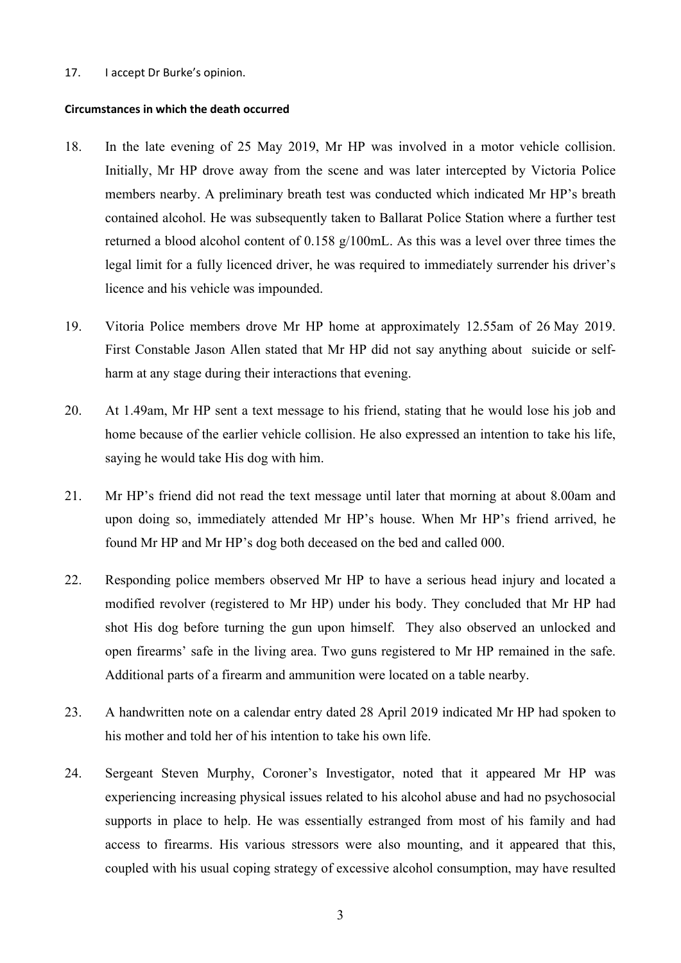#### 17. I accept Dr Burke's opinion.

#### **Circumstances in which the death occurred**

- 18. In the late evening of 25 May 2019, Mr HP was involved in a motor vehicle collision. Initially, Mr HP drove away from the scene and was later intercepted by Victoria Police members nearby. A preliminary breath test was conducted which indicated Mr HP's breath contained alcohol. He was subsequently taken to Ballarat Police Station where a further test returned a blood alcohol content of 0.158 g/100mL. As this was a level over three times the legal limit for a fully licenced driver, he was required to immediately surrender his driver's licence and his vehicle was impounded.
- 19. Vitoria Police members drove Mr HP home at approximately 12.55am of 26 May 2019. First Constable Jason Allen stated that Mr HP did not say anything about suicide or selfharm at any stage during their interactions that evening.
- 20. At 1.49am, Mr HP sent a text message to his friend, stating that he would lose his job and home because of the earlier vehicle collision. He also expressed an intention to take his life, saying he would take His dog with him.
- 21. Mr HP's friend did not read the text message until later that morning at about 8.00am and upon doing so, immediately attended Mr HP's house. When Mr HP's friend arrived, he found Mr HP and Mr HP's dog both deceased on the bed and called 000.
- 22. Responding police members observed Mr HP to have a serious head injury and located a modified revolver (registered to Mr HP) under his body. They concluded that Mr HP had shot His dog before turning the gun upon himself. They also observed an unlocked and open firearms' safe in the living area. Two guns registered to Mr HP remained in the safe. Additional parts of a firearm and ammunition were located on a table nearby.
- 23. A handwritten note on a calendar entry dated 28 April 2019 indicated Mr HP had spoken to his mother and told her of his intention to take his own life.
- 24. Sergeant Steven Murphy, Coroner's Investigator, noted that it appeared Mr HP was experiencing increasing physical issues related to his alcohol abuse and had no psychosocial supports in place to help. He was essentially estranged from most of his family and had access to firearms. His various stressors were also mounting, and it appeared that this, coupled with his usual coping strategy of excessive alcohol consumption, may have resulted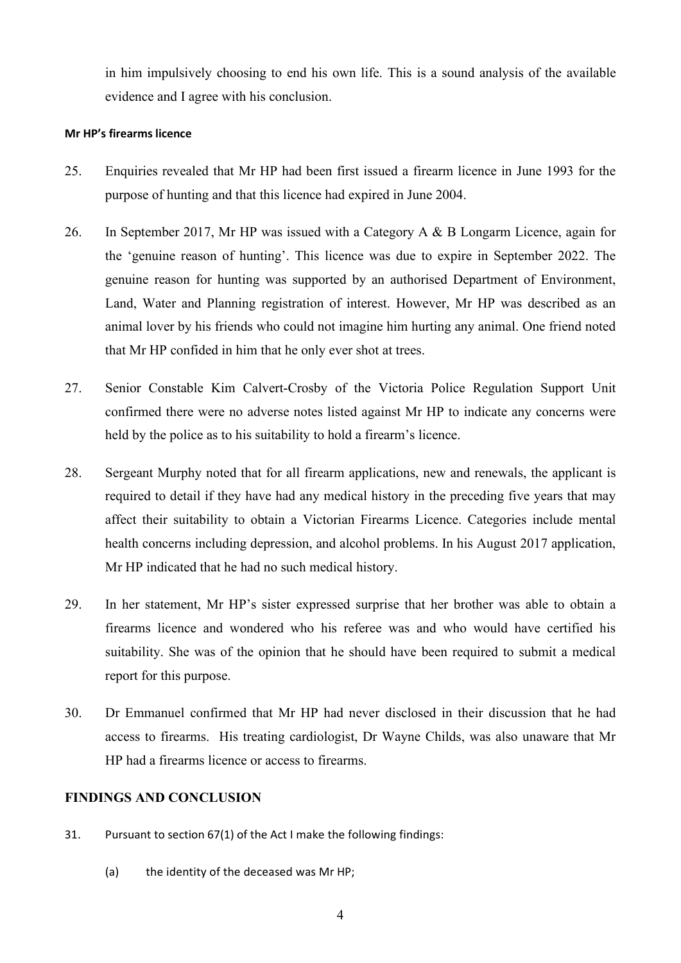in him impulsively choosing to end his own life. This is a sound analysis of the available evidence and I agree with his conclusion.

## **Mr HP's firearms licence**

- 25. Enquiries revealed that Mr HP had been first issued a firearm licence in June 1993 for the purpose of hunting and that this licence had expired in June 2004.
- 26. In September 2017, Mr HP was issued with a Category A & B Longarm Licence, again for the 'genuine reason of hunting'. This licence was due to expire in September 2022. The genuine reason for hunting was supported by an authorised Department of Environment, Land, Water and Planning registration of interest. However, Mr HP was described as an animal lover by his friends who could not imagine him hurting any animal. One friend noted that Mr HP confided in him that he only ever shot at trees.
- 27. Senior Constable Kim Calvert-Crosby of the Victoria Police Regulation Support Unit confirmed there were no adverse notes listed against Mr HP to indicate any concerns were held by the police as to his suitability to hold a firearm's licence.
- 28. Sergeant Murphy noted that for all firearm applications, new and renewals, the applicant is required to detail if they have had any medical history in the preceding five years that may affect their suitability to obtain a Victorian Firearms Licence. Categories include mental health concerns including depression, and alcohol problems. In his August 2017 application, Mr HP indicated that he had no such medical history.
- 29. In her statement, Mr HP's sister expressed surprise that her brother was able to obtain a firearms licence and wondered who his referee was and who would have certified his suitability. She was of the opinion that he should have been required to submit a medical report for this purpose.
- 30. Dr Emmanuel confirmed that Mr HP had never disclosed in their discussion that he had access to firearms. His treating cardiologist, Dr Wayne Childs, was also unaware that Mr HP had a firearms licence or access to firearms.

## **FINDINGS AND CONCLUSION**

- 31. Pursuant to section 67(1) of the Act I make the following findings:
	- (a) the identity of the deceased was Mr HP;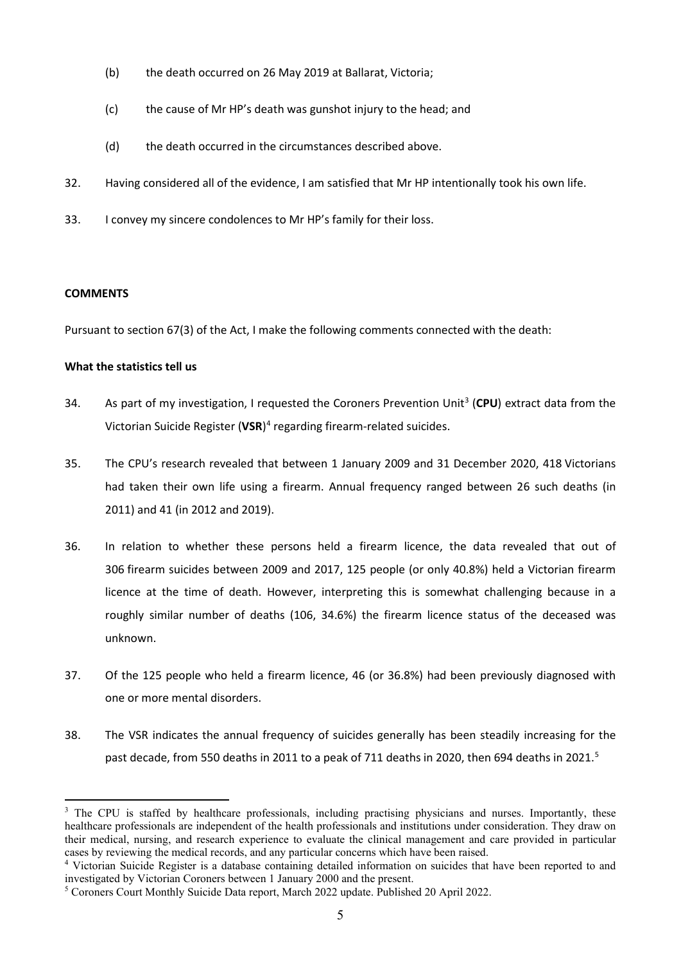- (b) the death occurred on 26 May 2019 at Ballarat, Victoria;
- (c) the cause of Mr HP's death was gunshot injury to the head; and
- (d) the death occurred in the circumstances described above.
- 32. Having considered all of the evidence, I am satisfied that Mr HP intentionally took his own life.
- 33. I convey my sincere condolences to Mr HP's family for their loss.

#### **COMMENTS**

Pursuant to section 67(3) of the Act, I make the following comments connected with the death:

## **What the statistics tell us**

- [3](#page-5-0)4. As part of my investigation, I requested the Coroners Prevention Unit<sup>3</sup> (CPU) extract data from the Victorian Suicide Register (**VSR**) [4](#page-5-1) regarding firearm-related suicides.
- 35. The CPU's research revealed that between 1 January 2009 and 31 December 2020, 418 Victorians had taken their own life using a firearm. Annual frequency ranged between 26 such deaths (in 2011) and 41 (in 2012 and 2019).
- 36. In relation to whether these persons held a firearm licence, the data revealed that out of 306 firearm suicides between 2009 and 2017, 125 people (or only 40.8%) held a Victorian firearm licence at the time of death. However, interpreting this is somewhat challenging because in a roughly similar number of deaths (106, 34.6%) the firearm licence status of the deceased was unknown.
- 37. Of the 125 people who held a firearm licence, 46 (or 36.8%) had been previously diagnosed with one or more mental disorders.
- 38. The VSR indicates the annual frequency of suicides generally has been steadily increasing for the past decade, from [5](#page-5-2)50 deaths in 2011 to a peak of 711 deaths in 2020, then 694 deaths in 2021.<sup>5</sup>

<span id="page-5-0"></span><sup>&</sup>lt;sup>3</sup> The CPU is staffed by healthcare professionals, including practising physicians and nurses. Importantly, these healthcare professionals are independent of the health professionals and institutions under consideration. They draw on their medical, nursing, and research experience to evaluate the clinical management and care provided in particular cases by reviewing the medical records, and any particular concerns which have been raised.

<span id="page-5-1"></span><sup>&</sup>lt;sup>4</sup> Victorian Suicide Register is a database containing detailed information on suicides that have been reported to and investigated by Victorian Coroners between 1 January 2000 and the present.

<span id="page-5-2"></span><sup>5</sup> Coroners Court Monthly Suicide Data report, March 2022 update. Published 20 April 2022.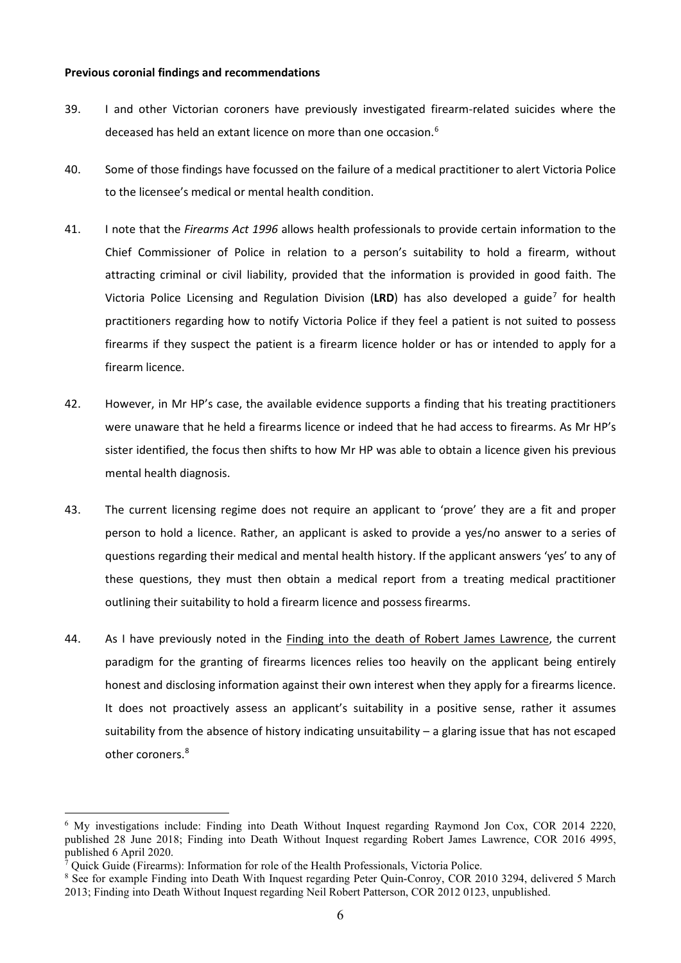#### **Previous coronial findings and recommendations**

- 39. I and other Victorian coroners have previously investigated firearm-related suicides where the deceased has held an extant licence on more than one occasion.<sup>[6](#page-6-0)</sup>
- 40. Some of those findings have focussed on the failure of a medical practitioner to alert Victoria Police to the licensee's medical or mental health condition.
- 41. I note that the *Firearms Act 1996* allows health professionals to provide certain information to the Chief Commissioner of Police in relation to a person's suitability to hold a firearm, without attracting criminal or civil liability, provided that the information is provided in good faith. The Victoria Police Licensing and Regulation Division (**LRD**) has also developed a guide[7](#page-6-1) for health practitioners regarding how to notify Victoria Police if they feel a patient is not suited to possess firearms if they suspect the patient is a firearm licence holder or has or intended to apply for a firearm licence.
- 42. However, in Mr HP's case, the available evidence supports a finding that his treating practitioners were unaware that he held a firearms licence or indeed that he had access to firearms. As Mr HP's sister identified, the focus then shifts to how Mr HP was able to obtain a licence given his previous mental health diagnosis.
- 43. The current licensing regime does not require an applicant to 'prove' they are a fit and proper person to hold a licence. Rather, an applicant is asked to provide a yes/no answer to a series of questions regarding their medical and mental health history. If the applicant answers 'yes' to any of these questions, they must then obtain a medical report from a treating medical practitioner outlining their suitability to hold a firearm licence and possess firearms.
- 44. As I have previously noted in the Finding into the death of Robert James Lawrence, the current paradigm for the granting of firearms licences relies too heavily on the applicant being entirely honest and disclosing information against their own interest when they apply for a firearms licence. It does not proactively assess an applicant's suitability in a positive sense, rather it assumes suitability from the absence of history indicating unsuitability – a glaring issue that has not escaped other coroners.<sup>[8](#page-6-2)</sup>

<span id="page-6-0"></span><sup>6</sup> My investigations include: Finding into Death Without Inquest regarding Raymond Jon Cox, COR 2014 2220, published 28 June 2018; Finding into Death Without Inquest regarding Robert James Lawrence, COR 2016 4995, published 6 April 2020.

<sup>7</sup> Quick Guide (Firearms): Information for role of the Health Professionals, Victoria Police.

<span id="page-6-2"></span><span id="page-6-1"></span><sup>&</sup>lt;sup>8</sup> See for example Finding into Death With Inquest regarding Peter Quin-Conroy, COR 2010 3294, delivered 5 March 2013; Finding into Death Without Inquest regarding Neil Robert Patterson, COR 2012 0123, unpublished.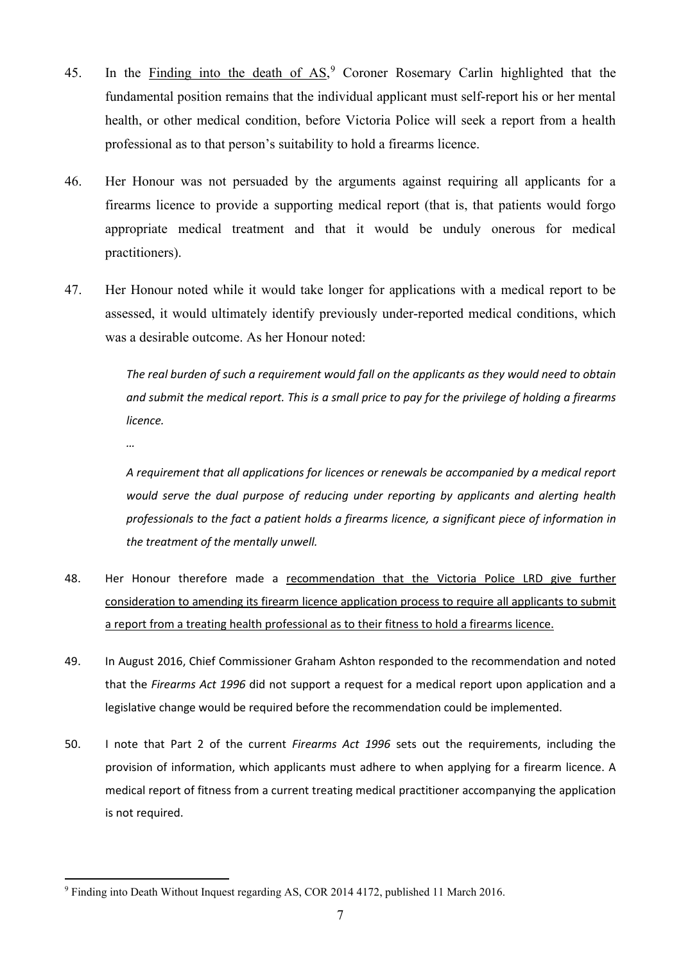- 45. In the Finding into the death of AS,<sup>[9](#page-7-0)</sup> Coroner Rosemary Carlin highlighted that the fundamental position remains that the individual applicant must self-report his or her mental health, or other medical condition, before Victoria Police will seek a report from a health professional as to that person's suitability to hold a firearms licence.
- 46. Her Honour was not persuaded by the arguments against requiring all applicants for a firearms licence to provide a supporting medical report (that is, that patients would forgo appropriate medical treatment and that it would be unduly onerous for medical practitioners).
- 47. Her Honour noted while it would take longer for applications with a medical report to be assessed, it would ultimately identify previously under-reported medical conditions, which was a desirable outcome. As her Honour noted:

*The real burden of such a requirement would fall on the applicants as they would need to obtain and submit the medical report. This is a small price to pay for the privilege of holding a firearms licence.*

*…*

*A requirement that all applications for licences or renewals be accompanied by a medical report would serve the dual purpose of reducing under reporting by applicants and alerting health professionals to the fact a patient holds a firearms licence, a significant piece of information in the treatment of the mentally unwell.*

- 48. Her Honour therefore made a recommendation that the Victoria Police LRD give further consideration to amending its firearm licence application process to require all applicants to submit a report from a treating health professional as to their fitness to hold a firearms licence.
- 49. In August 2016, Chief Commissioner Graham Ashton responded to the recommendation and noted that the *Firearms Act 1996* did not support a request for a medical report upon application and a legislative change would be required before the recommendation could be implemented.
- 50. I note that Part 2 of the current *Firearms Act 1996* sets out the requirements, including the provision of information, which applicants must adhere to when applying for a firearm licence. A medical report of fitness from a current treating medical practitioner accompanying the application is not required.

<span id="page-7-0"></span><sup>9</sup> Finding into Death Without Inquest regarding AS, COR 2014 4172, published 11 March 2016.